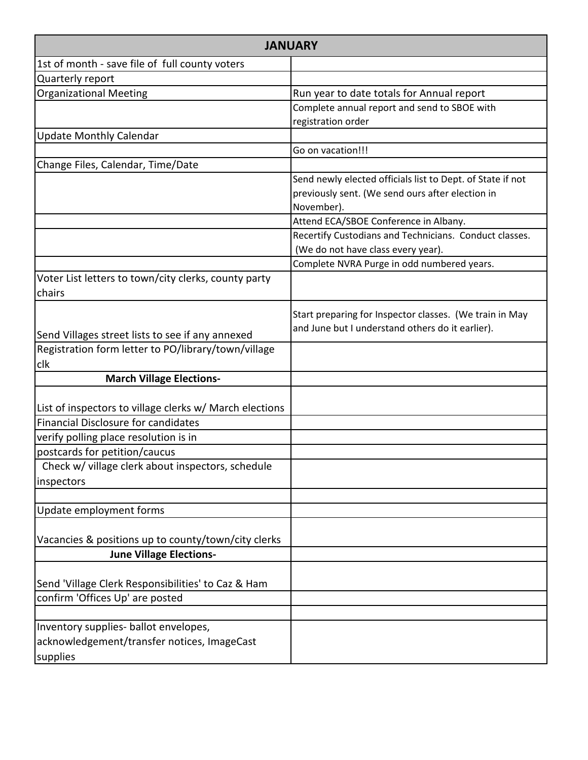| <b>JANUARY</b>                                                 |                                                                                                             |  |
|----------------------------------------------------------------|-------------------------------------------------------------------------------------------------------------|--|
| 1st of month - save file of full county voters                 |                                                                                                             |  |
| Quarterly report                                               |                                                                                                             |  |
| <b>Organizational Meeting</b>                                  | Run year to date totals for Annual report                                                                   |  |
|                                                                | Complete annual report and send to SBOE with                                                                |  |
|                                                                | registration order                                                                                          |  |
| <b>Update Monthly Calendar</b>                                 |                                                                                                             |  |
|                                                                | Go on vacation!!!                                                                                           |  |
| Change Files, Calendar, Time/Date                              |                                                                                                             |  |
|                                                                | Send newly elected officials list to Dept. of State if not                                                  |  |
|                                                                | previously sent. (We send ours after election in                                                            |  |
|                                                                | November).                                                                                                  |  |
|                                                                | Attend ECA/SBOE Conference in Albany.                                                                       |  |
|                                                                | Recertify Custodians and Technicians. Conduct classes.                                                      |  |
|                                                                | (We do not have class every year).                                                                          |  |
|                                                                | Complete NVRA Purge in odd numbered years.                                                                  |  |
| Voter List letters to town/city clerks, county party<br>chairs |                                                                                                             |  |
|                                                                |                                                                                                             |  |
|                                                                | Start preparing for Inspector classes. (We train in May<br>and June but I understand others do it earlier). |  |
| Send Villages street lists to see if any annexed               |                                                                                                             |  |
| Registration form letter to PO/library/town/village            |                                                                                                             |  |
| clk                                                            |                                                                                                             |  |
| <b>March Village Elections-</b>                                |                                                                                                             |  |
|                                                                |                                                                                                             |  |
| List of inspectors to village clerks w/ March elections        |                                                                                                             |  |
| <b>Financial Disclosure for candidates</b>                     |                                                                                                             |  |
| verify polling place resolution is in                          |                                                                                                             |  |
| postcards for petition/caucus                                  |                                                                                                             |  |
| Check w/ village clerk about inspectors, schedule              |                                                                                                             |  |
| inspectors                                                     |                                                                                                             |  |
|                                                                |                                                                                                             |  |
| Update employment forms                                        |                                                                                                             |  |
|                                                                |                                                                                                             |  |
| Vacancies & positions up to county/town/city clerks            |                                                                                                             |  |
| <b>June Village Elections-</b>                                 |                                                                                                             |  |
| Send 'Village Clerk Responsibilities' to Caz & Ham             |                                                                                                             |  |
| confirm 'Offices Up' are posted                                |                                                                                                             |  |
|                                                                |                                                                                                             |  |
| Inventory supplies- ballot envelopes,                          |                                                                                                             |  |
| acknowledgement/transfer notices, ImageCast                    |                                                                                                             |  |
| supplies                                                       |                                                                                                             |  |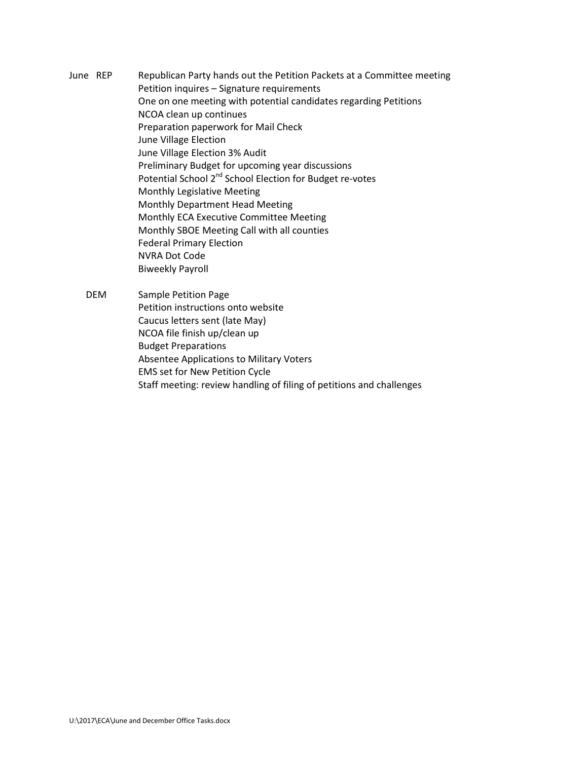- June REP Republican Party hands out the Petition Packets at a Committee meeting Petition inquires – Signature requirements One on one meeting with potential candidates regarding Petitions NCOA clean up continues Preparation paperwork for Mail Check June Village Election June Village Election 3% Audit Preliminary Budget for upcoming year discussions Potential School 2<sup>nd</sup> School Election for Budget re-votes Monthly Legislative Meeting Monthly Department Head Meeting Monthly ECA Executive Committee Meeting Monthly SBOE Meeting Call with all counties Federal Primary Election NVRA Dot Code Biweekly Payroll
	- DEM Sample Petition Page Petition instructions onto website Caucus letters sent (late May) NCOA file finish up/clean up Budget Preparations Absentee Applications to Military Voters EMS set for New Petition Cycle Staff meeting: review handling of filing of petitions and challenges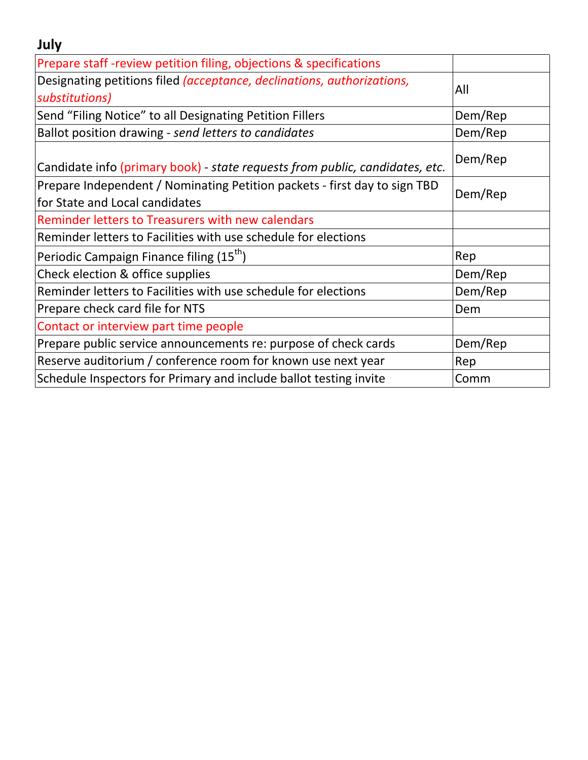| July                                                                                                        |         |
|-------------------------------------------------------------------------------------------------------------|---------|
| Prepare staff-review petition filing, objections & specifications                                           |         |
| Designating petitions filed <i>(acceptance, declinations, authorizations,</i><br>substitutions)             | All     |
| Send "Filing Notice" to all Designating Petition Fillers                                                    | Dem/Rep |
| Ballot position drawing - send letters to candidates                                                        | Dem/Rep |
| Candidate info (primary book) - state requests from public, candidates, etc.                                | Dem/Rep |
| Prepare Independent / Nominating Petition packets - first day to sign TBD<br>for State and Local candidates | Dem/Rep |
| Reminder letters to Treasurers with new calendars                                                           |         |
| Reminder letters to Facilities with use schedule for elections                                              |         |
| Periodic Campaign Finance filing (15 <sup>th</sup> )                                                        | Rep     |
| Check election & office supplies                                                                            | Dem/Rep |
| Reminder letters to Facilities with use schedule for elections                                              | Dem/Rep |
| Prepare check card file for NTS                                                                             | Dem     |
| Contact or interview part time people                                                                       |         |
| Prepare public service announcements re: purpose of check cards                                             | Dem/Rep |
| Reserve auditorium / conference room for known use next year                                                | Rep     |
| Schedule Inspectors for Primary and include ballot testing invite                                           | Comm    |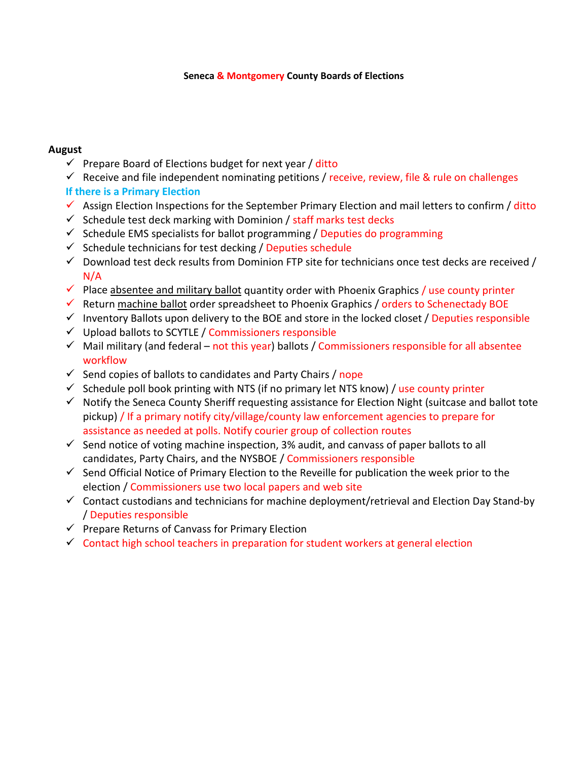## **Seneca & Montgomery County Boards of Elections**

## **August**

- $\checkmark$  Prepare Board of Elections budget for next year / ditto
- $\checkmark$  Receive and file independent nominating petitions / receive, review, file & rule on challenges

## **If there is a Primary Election**

- $\checkmark$  Assign Election Inspections for the September Primary Election and mail letters to confirm / ditto
- $\checkmark$  Schedule test deck marking with Dominion / staff marks test decks
- $\checkmark$  Schedule EMS specialists for ballot programming / Deputies do programming
- $\checkmark$  Schedule technicians for test decking / Deputies schedule
- $\checkmark$  Download test deck results from Dominion FTP site for technicians once test decks are received / N/A
- $\checkmark$  Place absentee and military ballot quantity order with Phoenix Graphics / use county printer
- $\checkmark$  Return machine ballot order spreadsheet to Phoenix Graphics / orders to Schenectady BOE
- Inventory Ballots upon delivery to the BOE and store in the locked closet / Deputies responsible
- $\checkmark$  Upload ballots to SCYTLE / Commissioners responsible
- $\checkmark$  Mail military (and federal not this year) ballots / Commissioners responsible for all absentee workflow
- $\checkmark$  Send copies of ballots to candidates and Party Chairs / nope
- $\checkmark$  Schedule poll book printing with NTS (if no primary let NTS know) / use county printer
- $\checkmark$  Notify the Seneca County Sheriff requesting assistance for Election Night (suitcase and ballot tote pickup) / If a primary notify city/village/county law enforcement agencies to prepare for assistance as needed at polls. Notify courier group of collection routes
- $\checkmark$  Send notice of voting machine inspection, 3% audit, and canvass of paper ballots to all candidates, Party Chairs, and the NYSBOE / Commissioners responsible
- $\checkmark$  Send Official Notice of Primary Election to the Reveille for publication the week prior to the election / Commissioners use two local papers and web site
- $\checkmark$  Contact custodians and technicians for machine deployment/retrieval and Election Day Stand-by / Deputies responsible
- $\checkmark$  Prepare Returns of Canvass for Primary Election
- $\checkmark$  Contact high school teachers in preparation for student workers at general election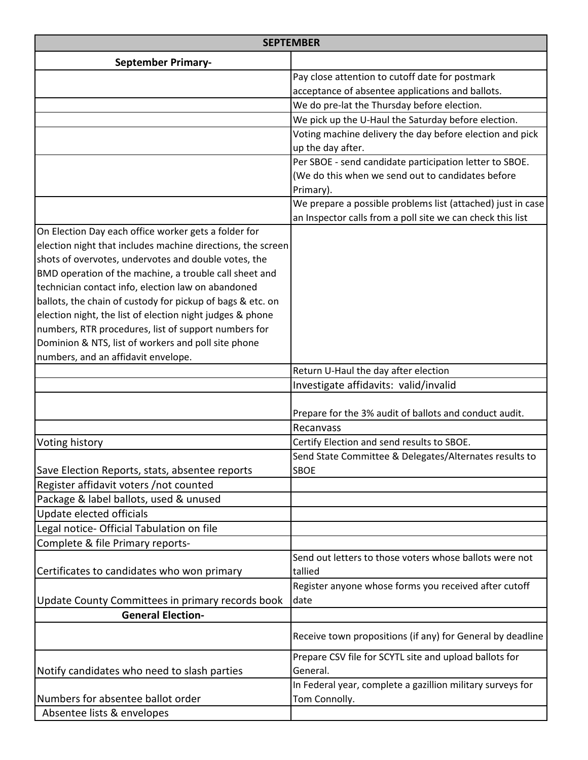|                                                             | <b>SEPTEMBER</b>                                                              |
|-------------------------------------------------------------|-------------------------------------------------------------------------------|
| <b>September Primary-</b>                                   |                                                                               |
|                                                             | Pay close attention to cutoff date for postmark                               |
|                                                             | acceptance of absentee applications and ballots.                              |
|                                                             | We do pre-lat the Thursday before election.                                   |
|                                                             | We pick up the U-Haul the Saturday before election.                           |
|                                                             | Voting machine delivery the day before election and pick                      |
|                                                             | up the day after.                                                             |
|                                                             | Per SBOE - send candidate participation letter to SBOE.                       |
|                                                             | (We do this when we send out to candidates before                             |
|                                                             | Primary).                                                                     |
|                                                             | We prepare a possible problems list (attached) just in case                   |
|                                                             | an Inspector calls from a poll site we can check this list                    |
| On Election Day each office worker gets a folder for        |                                                                               |
| election night that includes machine directions, the screen |                                                                               |
| shots of overvotes, undervotes and double votes, the        |                                                                               |
| BMD operation of the machine, a trouble call sheet and      |                                                                               |
| technician contact info, election law on abandoned          |                                                                               |
| ballots, the chain of custody for pickup of bags & etc. on  |                                                                               |
| election night, the list of election night judges & phone   |                                                                               |
| numbers, RTR procedures, list of support numbers for        |                                                                               |
| Dominion & NTS, list of workers and poll site phone         |                                                                               |
| numbers, and an affidavit envelope.                         |                                                                               |
|                                                             | Return U-Haul the day after election<br>Investigate affidavits: valid/invalid |
|                                                             |                                                                               |
|                                                             | Prepare for the 3% audit of ballots and conduct audit.                        |
|                                                             | Recanvass                                                                     |
| Voting history                                              | Certify Election and send results to SBOE.                                    |
|                                                             | Send State Committee & Delegates/Alternates results to                        |
| Save Election Reports, stats, absentee reports              | <b>SBOE</b>                                                                   |
| Register affidavit voters /not counted                      |                                                                               |
| Package & label ballots, used & unused                      |                                                                               |
| Update elected officials                                    |                                                                               |
| Legal notice- Official Tabulation on file                   |                                                                               |
| Complete & file Primary reports-                            |                                                                               |
|                                                             | Send out letters to those voters whose ballots were not                       |
| Certificates to candidates who won primary                  | tallied                                                                       |
|                                                             | Register anyone whose forms you received after cutoff                         |
| Update County Committees in primary records book            | date                                                                          |
| <b>General Election-</b>                                    |                                                                               |
|                                                             | Receive town propositions (if any) for General by deadline                    |
|                                                             | Prepare CSV file for SCYTL site and upload ballots for                        |
| Notify candidates who need to slash parties                 | General.                                                                      |
|                                                             | In Federal year, complete a gazillion military surveys for                    |
| Numbers for absentee ballot order                           | Tom Connolly.                                                                 |
| Absentee lists & envelopes                                  |                                                                               |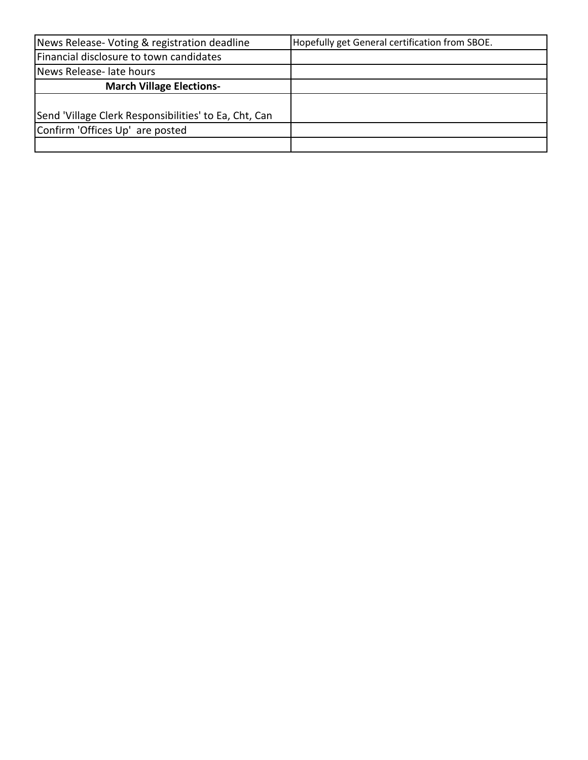| News Release-Voting & registration deadline           | Hopefully get General certification from SBOE. |
|-------------------------------------------------------|------------------------------------------------|
| Financial disclosure to town candidates               |                                                |
| News Release- late hours                              |                                                |
| <b>March Village Elections-</b>                       |                                                |
|                                                       |                                                |
| Send 'Village Clerk Responsibilities' to Ea, Cht, Can |                                                |
| Confirm 'Offices Up' are posted                       |                                                |
|                                                       |                                                |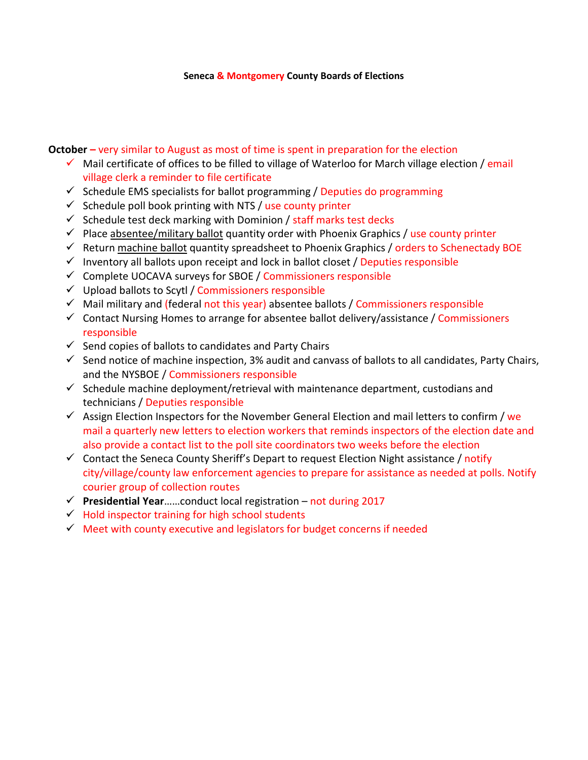## **Seneca & Montgomery County Boards of Elections**

**October –** very similar to August as most of time is spent in preparation for the election

- $\checkmark$  Mail certificate of offices to be filled to village of Waterloo for March village election / email village clerk a reminder to file certificate
- $\checkmark$  Schedule EMS specialists for ballot programming / Deputies do programming
- $\checkmark$  Schedule poll book printing with NTS / use county printer
- $\checkmark$  Schedule test deck marking with Dominion / staff marks test decks
- $\checkmark$  Place absentee/military ballot quantity order with Phoenix Graphics / use county printer
- $\checkmark$  Return machine ballot quantity spreadsheet to Phoenix Graphics / orders to Schenectady BOE
- $\checkmark$  Inventory all ballots upon receipt and lock in ballot closet / Deputies responsible
- $\checkmark$  Complete UOCAVA surveys for SBOE / Commissioners responsible
- $\checkmark$  Upload ballots to Scytl / Commissioners responsible
- $\checkmark$  Mail military and (federal not this year) absentee ballots / Commissioners responsible
- $\checkmark$  Contact Nursing Homes to arrange for absentee ballot delivery/assistance / Commissioners responsible
- $\checkmark$  Send copies of ballots to candidates and Party Chairs
- $\checkmark$  Send notice of machine inspection, 3% audit and canvass of ballots to all candidates, Party Chairs, and the NYSBOE / Commissioners responsible
- $\checkmark$  Schedule machine deployment/retrieval with maintenance department, custodians and technicians / Deputies responsible
- $\checkmark$  Assign Election Inspectors for the November General Election and mail letters to confirm / we mail a quarterly new letters to election workers that reminds inspectors of the election date and also provide a contact list to the poll site coordinators two weeks before the election
- $\checkmark$  Contact the Seneca County Sheriff's Depart to request Election Night assistance / notify city/village/county law enforcement agencies to prepare for assistance as needed at polls. Notify courier group of collection routes
- **Presidential Year**……conduct local registration not during 2017
- $\checkmark$  Hold inspector training for high school students
- $\checkmark$  Meet with county executive and legislators for budget concerns if needed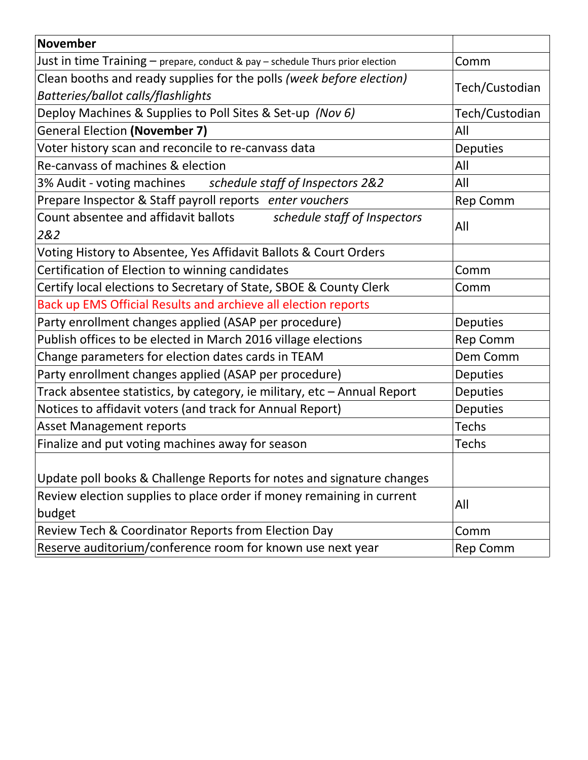| November                                                                        |                 |
|---------------------------------------------------------------------------------|-----------------|
| Just in time Training - prepare, conduct & pay - schedule Thurs prior election  | Comm            |
| Clean booths and ready supplies for the polls (week before election)            | Tech/Custodian  |
| Batteries/ballot calls/flashlights                                              |                 |
| Deploy Machines & Supplies to Poll Sites & Set-up (Nov 6)                       | Tech/Custodian  |
| <b>General Election (November 7)</b>                                            | All             |
| Voter history scan and reconcile to re-canvass data                             | <b>Deputies</b> |
| Re-canvass of machines & election                                               | All             |
| 3% Audit - voting machines schedule staff of Inspectors 2&2                     | All             |
| Prepare Inspector & Staff payroll reports enter vouchers                        | Rep Comm        |
| Count absentee and affidavit ballots<br>schedule staff of Inspectors<br>2&2     | All             |
| Voting History to Absentee, Yes Affidavit Ballots & Court Orders                |                 |
| Certification of Election to winning candidates                                 | Comm            |
| Certify local elections to Secretary of State, SBOE & County Clerk              | Comm            |
| Back up EMS Official Results and archieve all election reports                  |                 |
| Party enrollment changes applied (ASAP per procedure)                           | <b>Deputies</b> |
| Publish offices to be elected in March 2016 village elections                   | Rep Comm        |
| Change parameters for election dates cards in TEAM                              | Dem Comm        |
| Party enrollment changes applied (ASAP per procedure)                           | <b>Deputies</b> |
| Track absentee statistics, by category, ie military, etc - Annual Report        | Deputies        |
| Notices to affidavit voters (and track for Annual Report)                       | <b>Deputies</b> |
| <b>Asset Management reports</b>                                                 | <b>Techs</b>    |
| Finalize and put voting machines away for season                                | <b>Techs</b>    |
| Update poll books & Challenge Reports for notes and signature changes           |                 |
| Review election supplies to place order if money remaining in current<br>budget | All             |
| Review Tech & Coordinator Reports from Election Day                             | Comm            |
| Reserve auditorium/conference room for known use next year                      | Rep Comm        |